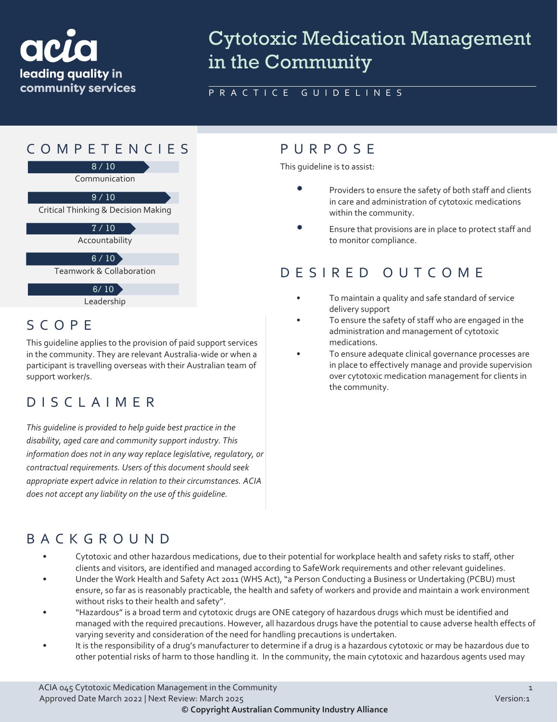

# Cytotoxic Medication Management in the Community

#### PRACTICE GUIDELINES

# COMPETENCIES PURPOS E



Critical Thinking & Decision Making 9 / 10

 $7/10$ 

Accountability

 $6 / 10$ 

Teamwork & Collaboration

Leadership  $6/10$ 

#### SCOPE

This guideline applies to the provision of paid support services in the community. They are relevant Australia-wide or when a participant is travelling overseas with their Australian team of support worker/s.

## DISCLAIMER

*This guideline is provided to help guide best practice in the disability, aged care and community support industry. This information does not in any way replace legislative, regulatory, or contractual requirements. Users of this document should seek appropriate expert advice in relation to their circumstances. ACIA does not accept any liability on the use of this guideline.*

This guideline is to assist:

- Providers to ensure the safety of both staff and clients in care and administration of cytotoxic medications within the community.
- Ensure that provisions are in place to protect staff and to monitor compliance.

#### DESIRED OUTCOME

- To maintain a quality and safe standard of service delivery support
- To ensure the safety of staff who are engaged in the administration and management of cytotoxic medications.
- To ensure adequate clinical governance processes are in place to effectively manage and provide supervision over cytotoxic medication management for clients in the community.

#### BACKGROUND

- Cytotoxic and other hazardous medications, due to their potential for workplace health and safety risks to staff, other clients and visitors, are identified and managed according to SafeWork requirements and other relevant guidelines.
- Under the Work Health and Safety Act 2011 (WHS Act), "a Person Conducting a Business or Undertaking (PCBU) must ensure, so far as is reasonably practicable, the health and safety of workers and provide and maintain a work environment without risks to their health and safety".
- "Hazardous" is a broad term and cytotoxic drugs are ONE category of hazardous drugs which must be identified and managed with the required precautions. However, all hazardous drugs have the potential to cause adverse health effects of varying severity and consideration of the need for handling precautions is undertaken.
- It is the responsibility of a drug's manufacturer to determine if a drug is a hazardous cytotoxic or may be hazardous due to other potential risks of harm to those handling it. In the community, the main cytotoxic and hazardous agents used may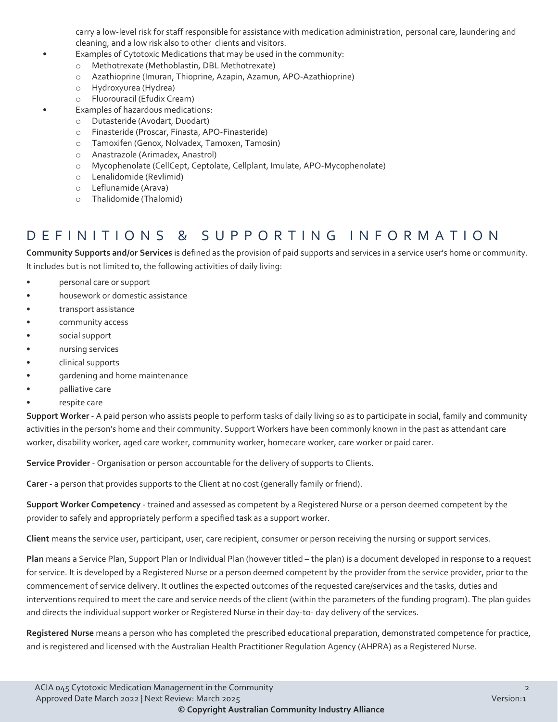carry a low-level risk for staff responsible for assistance with medication administration, personal care, laundering and cleaning, and a low risk also to other clients and visitors.

- Examples of Cytotoxic Medications that may be used in the community:
- o Methotrexate (Methoblastin, DBL Methotrexate)
- o Azathioprine (Imuran, Thioprine, Azapin, Azamun, APO-Azathioprine)
- o Hydroxyurea (Hydrea)
- o Fluorouracil (Efudix Cream)
- Examples of hazardous medications:
	- o Dutasteride (Avodart, Duodart)
	- o Finasteride (Proscar, Finasta, APO-Finasteride)
	- o Tamoxifen (Genox, Nolvadex, Tamoxen, Tamosin)
	- o Anastrazole (Arimadex, Anastrol)
	- o Mycophenolate (CellCept, Ceptolate, Cellplant, Imulate, APO-Mycophenolate)
	- o Lenalidomide (Revlimid)
	- o Leflunamide (Arava)
	- o Thalidomide (Thalomid)

#### DEFINITIONS & SUPPORTING INFORMATIO N

**Community Supports and/or Services** is defined as the provision of paid supports and services in a service user's home or community. It includes but is not limited to, the following activities of daily living:

- personal care or support
- housework or domestic assistance
- transport assistance
- community access
- social support
- nursing services
- clinical supports
- gardening and home maintenance
- palliative care
- respite care

**Support Worker** - A paid person who assists people to perform tasks of daily living so as to participate in social, family and community activities in the person's home and their community. Support Workers have been commonly known in the past as attendant care worker, disability worker, aged care worker, community worker, homecare worker, care worker or paid carer.

**Service Provider** - Organisation or person accountable for the delivery of supports to Clients.

**Carer** - a person that provides supports to the Client at no cost (generally family or friend).

**Support Worker Competency** - trained and assessed as competent by a Registered Nurse or a person deemed competent by the provider to safely and appropriately perform a specified task as a support worker.

**Client** means the service user, participant, user, care recipient, consumer or person receiving the nursing or support services.

**Plan** means a Service Plan, Support Plan or Individual Plan (however titled – the plan) is a document developed in response to a request for service. It is developed by a Registered Nurse or a person deemed competent by the provider from the service provider, prior to the commencement of service delivery. It outlines the expected outcomes of the requested care/services and the tasks, duties and interventions required to meet the care and service needs of the client (within the parameters of the funding program). The plan guides and directs the individual support worker or Registered Nurse in their day-to- day delivery of the services.

**Registered Nurse** means a person who has completed the prescribed educational preparation, demonstrated competence for practice, and is registered and licensed with the Australian Health Practitioner Regulation Agency (AHPRA) as a Registered Nurse.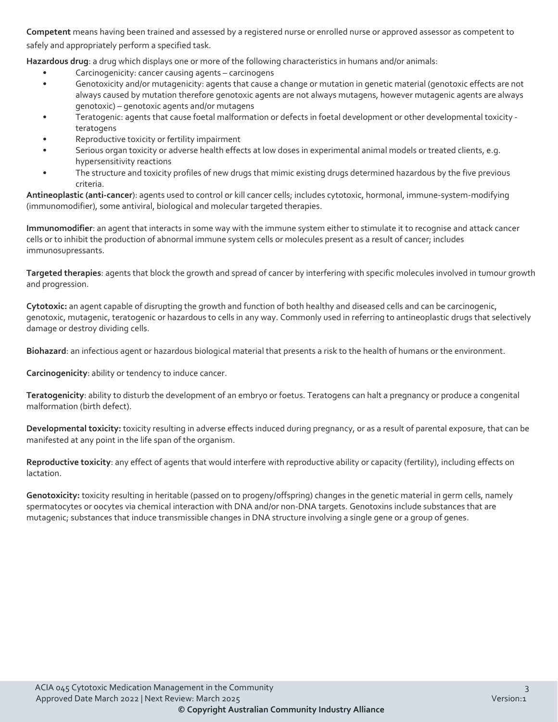**Competent** means having been trained and assessed by a registered nurse or enrolled nurse or approved assessor as competent to safely and appropriately perform a specified task.

**Hazardous drug**: a drug which displays one or more of the following characteristics in humans and/or animals:

- Carcinogenicity: cancer causing agents carcinogens
- Genotoxicity and/or mutagenicity: agents that cause a change or mutation in genetic material (genotoxic effects are not always caused by mutation therefore genotoxic agents are not always mutagens, however mutagenic agents are always genotoxic) – genotoxic agents and/or mutagens
- Teratogenic: agents that cause foetal malformation or defects in foetal development or other developmental toxicity teratogens
- Reproductive toxicity or fertility impairment
- Serious organ toxicity or adverse health effects at low doses in experimental animal models or treated clients, e.g. hypersensitivity reactions
- The structure and toxicity profiles of new drugs that mimic existing drugs determined hazardous by the five previous criteria.

**Antineoplastic (anti-cancer**): agents used to control or kill cancer cells; includes cytotoxic, hormonal, immune-system-modifying (immunomodifier), some antiviral, biological and molecular targeted therapies.

**Immunomodifier**: an agent that interacts in some way with the immune system either to stimulate it to recognise and attack cancer cells or to inhibit the production of abnormal immune system cells or molecules present as a result of cancer; includes immunosupressants.

**Targeted therapies**: agents that block the growth and spread of cancer by interfering with specific molecules involved in tumour growth and progression.

**Cytotoxic:** an agent capable of disrupting the growth and function of both healthy and diseased cells and can be carcinogenic, genotoxic, mutagenic, teratogenic or hazardous to cells in any way. Commonly used in referring to antineoplastic drugs that selectively damage or destroy dividing cells.

**Biohazard**: an infectious agent or hazardous biological material that presents a risk to the health of humans or the environment.

**Carcinogenicity**: ability or tendency to induce cancer.

**Teratogenicity**: ability to disturb the development of an embryo or foetus. Teratogens can halt a pregnancy or produce a congenital malformation (birth defect).

**Developmental toxicity:** toxicity resulting in adverse effects induced during pregnancy, or as a result of parental exposure, that can be manifested at any point in the life span of the organism.

**Reproductive toxicity**: any effect of agents that would interfere with reproductive ability or capacity (fertility), including effects on lactation.

**Genotoxicity:** toxicity resulting in heritable (passed on to progeny/offspring) changes in the genetic material in germ cells, namely spermatocytes or oocytes via chemical interaction with DNA and/or non-DNA targets. Genotoxins include substances that are mutagenic; substances that induce transmissible changes in DNA structure involving a single gene or a group of genes.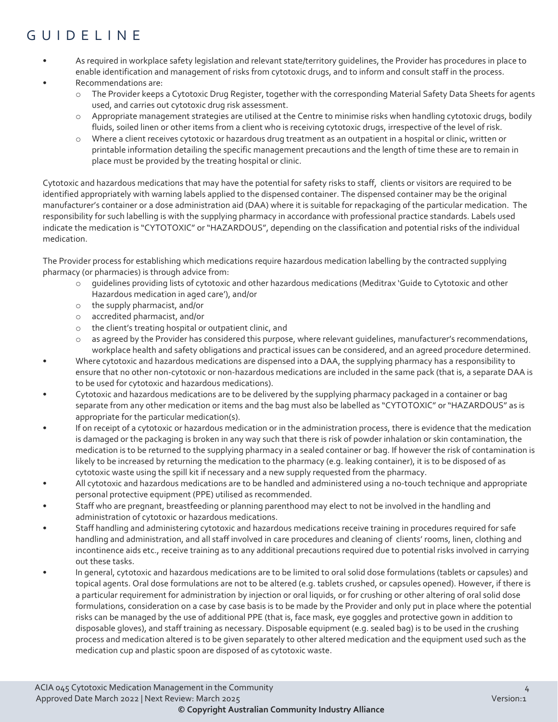## GUIDELINE

- As required in workplace safety legislation and relevant state/territory guidelines, the Provider has procedures in place to enable identification and management of risks from cytotoxic drugs, and to inform and consult staff in the process.
- Recommendations are:
	- o The Provider keeps a Cytotoxic Drug Register, together with the corresponding Material Safety Data Sheets for agents used, and carries out cytotoxic drug risk assessment.
	- o Appropriate management strategies are utilised at the Centre to minimise risks when handling cytotoxic drugs, bodily fluids, soiled linen or other items from a client who is receiving cytotoxic drugs, irrespective of the level of risk.
	- o Where a client receives cytotoxic or hazardous drug treatment as an outpatient in a hospital or clinic, written or printable information detailing the specific management precautions and the length of time these are to remain in place must be provided by the treating hospital or clinic.

Cytotoxic and hazardous medications that may have the potential for safety risks to staff, clients or visitors are required to be identified appropriately with warning labels applied to the dispensed container. The dispensed container may be the original manufacturer's container or a dose administration aid (DAA) where it is suitable for repackaging of the particular medication. The responsibility for such labelling is with the supplying pharmacy in accordance with professional practice standards. Labels used indicate the medication is "CYTOTOXIC" or "HAZARDOUS", depending on the classification and potential risks of the individual medication.

The Provider process for establishing which medications require hazardous medication labelling by the contracted supplying pharmacy (or pharmacies) is through advice from:

- o guidelines providing lists of cytotoxic and other hazardous medications (Meditrax 'Guide to Cytotoxic and other Hazardous medication in aged care'), and/or
- o the supply pharmacist, and/or
- o accredited pharmacist, and/or
- o the client's treating hospital or outpatient clinic, and
- as agreed by the Provider has considered this purpose, where relevant guidelines, manufacturer's recommendations, workplace health and safety obligations and practical issues can be considered, and an agreed procedure determined.
- Where cytotoxic and hazardous medications are dispensed into a DAA, the supplying pharmacy has a responsibility to ensure that no other non-cytotoxic or non-hazardous medications are included in the same pack (that is, a separate DAA is to be used for cytotoxic and hazardous medications).
- Cytotoxic and hazardous medications are to be delivered by the supplying pharmacy packaged in a container or bag separate from any other medication or items and the bag must also be labelled as "CYTOTOXIC" or "HAZARDOUS" as is appropriate for the particular medication(s).
- If on receipt of a cytotoxic or hazardous medication or in the administration process, there is evidence that the medication is damaged or the packaging is broken in any way such that there is risk of powder inhalation or skin contamination, the medication is to be returned to the supplying pharmacy in a sealed container or bag. If however the risk of contamination is likely to be increased by returning the medication to the pharmacy (e.g. leaking container), it is to be disposed of as cytotoxic waste using the spill kit if necessary and a new supply requested from the pharmacy.
- All cytotoxic and hazardous medications are to be handled and administered using a no-touch technique and appropriate personal protective equipment (PPE) utilised as recommended.
- Staff who are pregnant, breastfeeding or planning parenthood may elect to not be involved in the handling and administration of cytotoxic or hazardous medications.
- Staff handling and administering cytotoxic and hazardous medications receive training in procedures required for safe handling and administration, and all staff involved in care procedures and cleaning of clients' rooms, linen, clothing and incontinence aids etc., receive training as to any additional precautions required due to potential risks involved in carrying out these tasks.
- In general, cytotoxic and hazardous medications are to be limited to oral solid dose formulations (tablets or capsules) and topical agents. Oral dose formulations are not to be altered (e.g. tablets crushed, or capsules opened). However, if there is a particular requirement for administration by injection or oral liquids, or for crushing or other altering of oral solid dose formulations, consideration on a case by case basis is to be made by the Provider and only put in place where the potential risks can be managed by the use of additional PPE (that is, face mask, eye goggles and protective gown in addition to disposable gloves), and staff training as necessary. Disposable equipment (e.g. sealed bag) is to be used in the crushing process and medication altered is to be given separately to other altered medication and the equipment used such as the medication cup and plastic spoon are disposed of as cytotoxic waste.